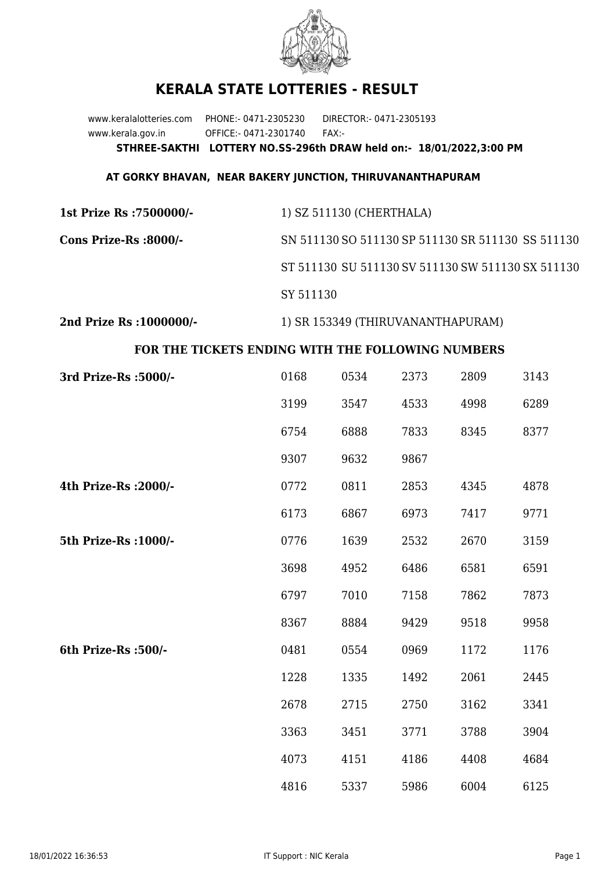

## **KERALA STATE LOTTERIES - RESULT**

www.keralalotteries.com PHONE:- 0471-2305230 DIRECTOR:- 0471-2305193 www.kerala.gov.in OFFICE:- 0471-2301740 FAX:- **STHREE-SAKTHI LOTTERY NO.SS-296th DRAW held on:- 18/01/2022,3:00 PM**

## **AT GORKY BHAVAN, NEAR BAKERY JUNCTION, THIRUVANANTHAPURAM**

| 1st Prize Rs :7500000/- | 1) SZ 511130 (CHERTHALA)                          |
|-------------------------|---------------------------------------------------|
| Cons Prize-Rs :8000/-   | SN 511130 SO 511130 SP 511130 SR 511130 SS 511130 |
|                         | ST 511130 SU 511130 SV 511130 SW 511130 SX 511130 |
|                         | SY 511130                                         |
|                         |                                                   |

**2nd Prize Rs :1000000/-** 1) SR 153349 (THIRUVANANTHAPURAM)

## **FOR THE TICKETS ENDING WITH THE FOLLOWING NUMBERS**

| 3rd Prize-Rs : 5000/- | 0168 | 0534 | 2373 | 2809 | 3143 |
|-----------------------|------|------|------|------|------|
|                       | 3199 | 3547 | 4533 | 4998 | 6289 |
|                       | 6754 | 6888 | 7833 | 8345 | 8377 |
|                       | 9307 | 9632 | 9867 |      |      |
| 4th Prize-Rs : 2000/- | 0772 | 0811 | 2853 | 4345 | 4878 |
|                       | 6173 | 6867 | 6973 | 7417 | 9771 |
| 5th Prize-Rs : 1000/- | 0776 | 1639 | 2532 | 2670 | 3159 |
|                       | 3698 | 4952 | 6486 | 6581 | 6591 |
|                       | 6797 | 7010 | 7158 | 7862 | 7873 |
|                       | 8367 | 8884 | 9429 | 9518 | 9958 |
| 6th Prize-Rs :500/-   | 0481 | 0554 | 0969 | 1172 | 1176 |
|                       | 1228 | 1335 | 1492 | 2061 | 2445 |
|                       | 2678 | 2715 | 2750 | 3162 | 3341 |
|                       | 3363 | 3451 | 3771 | 3788 | 3904 |
|                       | 4073 | 4151 | 4186 | 4408 | 4684 |
|                       | 4816 | 5337 | 5986 | 6004 | 6125 |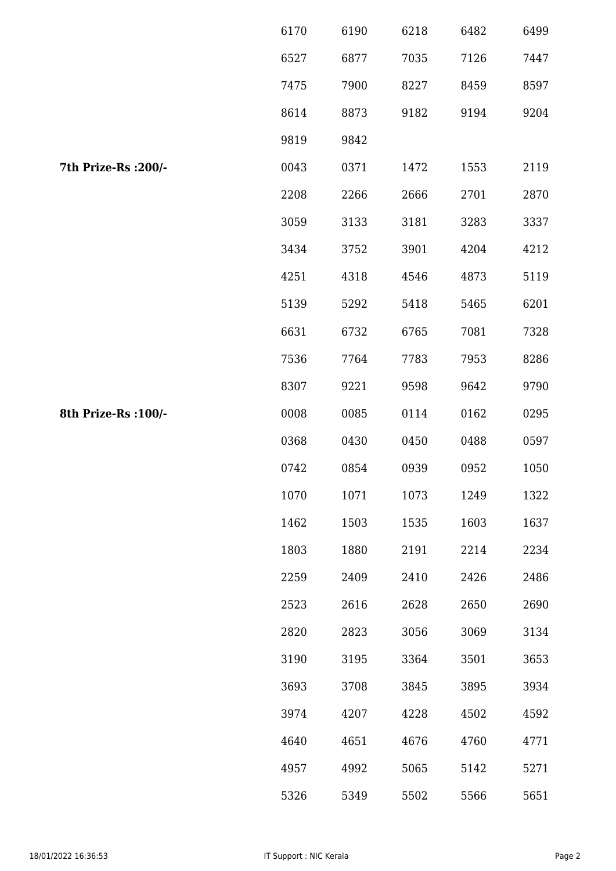|                      | 6170 | 6190 | 6218 | 6482 | 6499 |
|----------------------|------|------|------|------|------|
|                      | 6527 | 6877 | 7035 | 7126 | 7447 |
|                      | 7475 | 7900 | 8227 | 8459 | 8597 |
|                      | 8614 | 8873 | 9182 | 9194 | 9204 |
|                      | 9819 | 9842 |      |      |      |
| 7th Prize-Rs : 200/- | 0043 | 0371 | 1472 | 1553 | 2119 |
|                      | 2208 | 2266 | 2666 | 2701 | 2870 |
|                      | 3059 | 3133 | 3181 | 3283 | 3337 |
|                      | 3434 | 3752 | 3901 | 4204 | 4212 |
|                      | 4251 | 4318 | 4546 | 4873 | 5119 |
|                      | 5139 | 5292 | 5418 | 5465 | 6201 |
|                      | 6631 | 6732 | 6765 | 7081 | 7328 |
|                      | 7536 | 7764 | 7783 | 7953 | 8286 |
|                      | 8307 | 9221 | 9598 | 9642 | 9790 |
| 8th Prize-Rs : 100/- | 0008 | 0085 | 0114 | 0162 | 0295 |
|                      | 0368 | 0430 | 0450 | 0488 | 0597 |
|                      | 0742 | 0854 | 0939 | 0952 | 1050 |
|                      | 1070 | 1071 | 1073 | 1249 | 1322 |
|                      | 1462 | 1503 | 1535 | 1603 | 1637 |
|                      | 1803 | 1880 | 2191 | 2214 | 2234 |
|                      | 2259 | 2409 | 2410 | 2426 | 2486 |
|                      | 2523 | 2616 | 2628 | 2650 | 2690 |
|                      | 2820 | 2823 | 3056 | 3069 | 3134 |
|                      | 3190 | 3195 | 3364 | 3501 | 3653 |
|                      | 3693 | 3708 | 3845 | 3895 | 3934 |
|                      | 3974 | 4207 | 4228 | 4502 | 4592 |
|                      | 4640 | 4651 | 4676 | 4760 | 4771 |
|                      | 4957 | 4992 | 5065 | 5142 | 5271 |
|                      | 5326 | 5349 | 5502 | 5566 | 5651 |